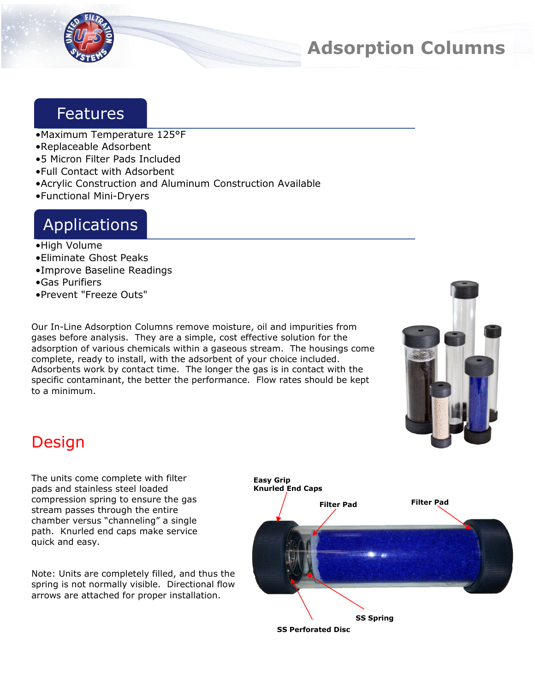

# **Adsorption Columns**

#### Features

- •Maximum Temperature 125°F
- •Replaceable Adsorbent
- •5 Micron Filter Pads Included
- •Full Contact with Adsorbent
- •Acrylic Construction and Aluminum Construction Available
- •Functional Mini-Dryers

## Applications

- •High Volume
- •Eliminate Ghost Peaks
- •Improve Baseline Readings
- •Gas Purifiers
- •Prevent "Freeze Outs"

Our In-Line Adsorption Columns remove moisture, oil and impurities from gases before analysis. They are a simple, cost effective solution for the adsorption of various chemicals within a gaseous stream. The housings come complete, ready to install, with the adsorbent of your choice included. Adsorbents work by contact time. The longer the gas is in contact with the specific contaminant, the better the performance. Flow rates should be kept to a minimum.



## Design

The units come complete with filter pads and stainless steel loaded compression spring to ensure the gas stream passes through the entire chamber versus "channeling" a single path. Knurled end caps make service quick and easy.

Note: Units are completely filled, and thus the spring is not normally visible. Directional flow arrows are attached for proper installation.

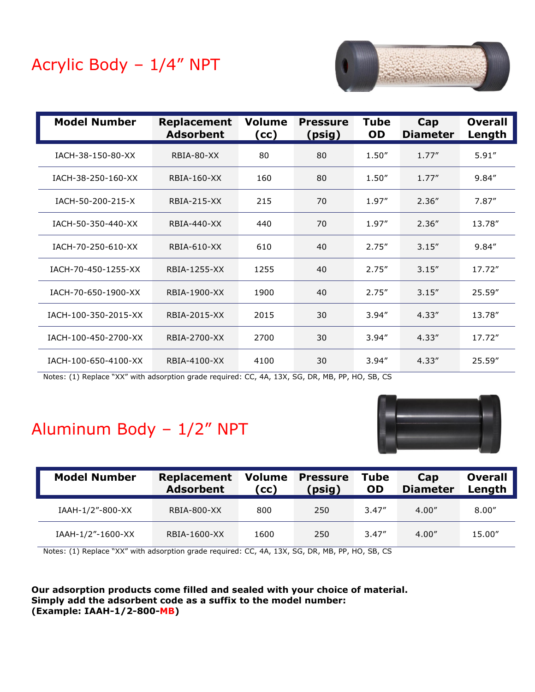# Acrylic Body – 1/4" NPT



| <b>Model Number</b>  | <b>Replacement</b><br><b>Adsorbent</b> | <b>Volume</b><br>(cc) | <b>Pressure</b><br>(psig) | <b>Tube</b><br><b>OD</b> | Cap<br><b>Diameter</b> | <b>Overall</b><br>Length |
|----------------------|----------------------------------------|-----------------------|---------------------------|--------------------------|------------------------|--------------------------|
| IACH-38-150-80-XX    | RBIA-80-XX                             | 80                    | 80                        | 1.50''                   | 1.77''                 | 5.91''                   |
| IACH-38-250-160-XX   | <b>RBIA-160-XX</b>                     | 160                   | 80                        | 1.50''                   | 1.77''                 | 9.84''                   |
| IACH-50-200-215-X    | <b>RBIA-215-XX</b>                     | 215                   | 70                        | 1.97"                    | 2.36''                 | 7.87''                   |
| IACH-50-350-440-XX   | RBIA-440-XX                            | 440                   | 70                        | 1.97"                    | 2.36''                 | 13.78"                   |
| IACH-70-250-610-XX   | <b>RBIA-610-XX</b>                     | 610                   | 40                        | 2.75''                   | 3.15''                 | 9.84''                   |
| IACH-70-450-1255-XX  | RBIA-1255-XX                           | 1255                  | 40                        | 2.75''                   | 3.15''                 | 17.72"                   |
| IACH-70-650-1900-XX  | RBIA-1900-XX                           | 1900                  | 40                        | 2.75''                   | 3.15''                 | 25.59"                   |
| IACH-100-350-2015-XX | RBIA-2015-XX                           | 2015                  | 30                        | 3.94''                   | 4.33''                 | 13.78"                   |
| IACH-100-450-2700-XX | RBIA-2700-XX                           | 2700                  | 30                        | 3.94''                   | 4.33''                 | 17.72"                   |
| IACH-100-650-4100-XX | RBIA-4100-XX                           | 4100                  | 30                        | 3.94''                   | 4.33''                 | 25.59"                   |

Notes: (1) Replace "XX" with adsorption grade required: CC, 4A, 13X, SG, DR, MB, PP, HO, SB, CS

## Aluminum Body – 1/2" NPT



| <b>Model Number</b> | <b>Replacement</b><br><b>Adsorbent</b> | <b>Volume</b><br>(cc) | <b>Pressure</b><br>(psig) | <b>Tube</b><br><b>OD</b> | Cap<br><b>Diameter</b> | <b>Overall</b><br>Length |
|---------------------|----------------------------------------|-----------------------|---------------------------|--------------------------|------------------------|--------------------------|
| IAAH-1/2"-800-XX    | RBIA-800-XX                            | 800                   | 250                       | 3.47''                   | 4.00''                 | 8.00''                   |
| IAAH-1/2"-1600-XX   | RBIA-1600-XX                           | 1600                  | 250                       | 3.47''                   | 4.00''                 | 15.00"                   |

Notes: (1) Replace "XX" with adsorption grade required: CC, 4A, 13X, SG, DR, MB, PP, HO, SB, CS

**Our adsorption products come filled and sealed with your choice of material. Simply add the adsorbent code as a suffix to the model number: (Example: IAAH-1/2-800-MB)**